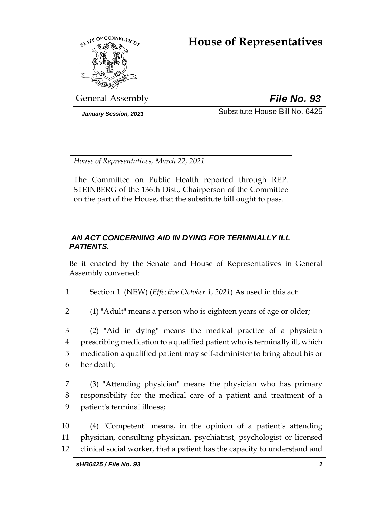# **House of Representatives**



General Assembly *File No. 93*

*January Session, 2021* Substitute House Bill No. 6425

*House of Representatives, March 22, 2021*

The Committee on Public Health reported through REP. STEINBERG of the 136th Dist., Chairperson of the Committee on the part of the House, that the substitute bill ought to pass.

# *AN ACT CONCERNING AID IN DYING FOR TERMINALLY ILL PATIENTS.*

Be it enacted by the Senate and House of Representatives in General Assembly convened:

1 Section 1. (NEW) (*Effective October 1, 2021*) As used in this act:

2 (1) "Adult" means a person who is eighteen years of age or older;

 (2) "Aid in dying" means the medical practice of a physician prescribing medication to a qualified patient who is terminally ill, which medication a qualified patient may self-administer to bring about his or her death;

7 (3) "Attending physician" means the physician who has primary 8 responsibility for the medical care of a patient and treatment of a 9 patient's terminal illness;

10 (4) "Competent" means, in the opinion of a patient's attending 11 physician, consulting physician, psychiatrist, psychologist or licensed 12 clinical social worker, that a patient has the capacity to understand and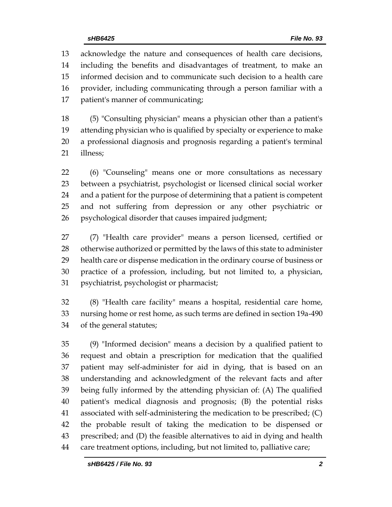acknowledge the nature and consequences of health care decisions, including the benefits and disadvantages of treatment, to make an informed decision and to communicate such decision to a health care provider, including communicating through a person familiar with a patient's manner of communicating;

 (5) "Consulting physician" means a physician other than a patient's attending physician who is qualified by specialty or experience to make a professional diagnosis and prognosis regarding a patient's terminal illness;

 (6) "Counseling" means one or more consultations as necessary between a psychiatrist, psychologist or licensed clinical social worker and a patient for the purpose of determining that a patient is competent and not suffering from depression or any other psychiatric or psychological disorder that causes impaired judgment;

 (7) "Health care provider" means a person licensed, certified or otherwise authorized or permitted by the laws of this state to administer health care or dispense medication in the ordinary course of business or practice of a profession, including, but not limited to, a physician, psychiatrist, psychologist or pharmacist;

 (8) "Health care facility" means a hospital, residential care home, nursing home or rest home, as such terms are defined in section 19a-490 of the general statutes;

 (9) "Informed decision" means a decision by a qualified patient to request and obtain a prescription for medication that the qualified patient may self-administer for aid in dying, that is based on an understanding and acknowledgment of the relevant facts and after being fully informed by the attending physician of: (A) The qualified patient's medical diagnosis and prognosis; (B) the potential risks associated with self-administering the medication to be prescribed; (C) the probable result of taking the medication to be dispensed or prescribed; and (D) the feasible alternatives to aid in dying and health care treatment options, including, but not limited to, palliative care;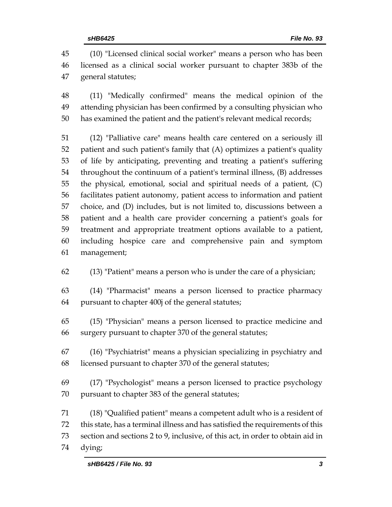(10) "Licensed clinical social worker" means a person who has been licensed as a clinical social worker pursuant to chapter 383b of the general statutes;

 (11) "Medically confirmed" means the medical opinion of the attending physician has been confirmed by a consulting physician who has examined the patient and the patient's relevant medical records;

 (12) "Palliative care" means health care centered on a seriously ill patient and such patient's family that (A) optimizes a patient's quality of life by anticipating, preventing and treating a patient's suffering throughout the continuum of a patient's terminal illness, (B) addresses the physical, emotional, social and spiritual needs of a patient, (C) facilitates patient autonomy, patient access to information and patient choice, and (D) includes, but is not limited to, discussions between a patient and a health care provider concerning a patient's goals for treatment and appropriate treatment options available to a patient, including hospice care and comprehensive pain and symptom management;

(13) "Patient" means a person who is under the care of a physician;

 (14) "Pharmacist" means a person licensed to practice pharmacy pursuant to chapter 400j of the general statutes;

 (15) "Physician" means a person licensed to practice medicine and surgery pursuant to chapter 370 of the general statutes;

 (16) "Psychiatrist" means a physician specializing in psychiatry and licensed pursuant to chapter 370 of the general statutes;

 (17) "Psychologist" means a person licensed to practice psychology pursuant to chapter 383 of the general statutes;

 (18) "Qualified patient" means a competent adult who is a resident of this state, has a terminal illness and has satisfied the requirements of this section and sections 2 to 9, inclusive, of this act, in order to obtain aid in dying;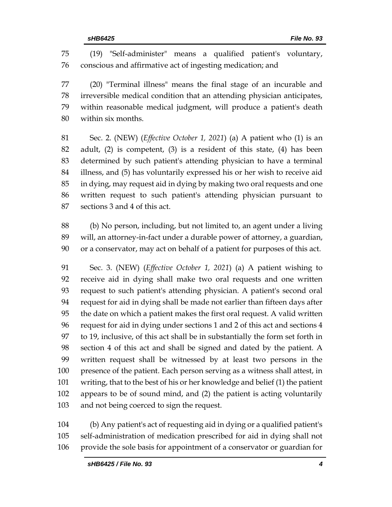(19) "Self-administer" means a qualified patient's voluntary, conscious and affirmative act of ingesting medication; and

 (20) "Terminal illness" means the final stage of an incurable and irreversible medical condition that an attending physician anticipates, within reasonable medical judgment, will produce a patient's death within six months.

 Sec. 2. (NEW) (*Effective October 1, 2021*) (a) A patient who (1) is an adult, (2) is competent, (3) is a resident of this state, (4) has been determined by such patient's attending physician to have a terminal illness, and (5) has voluntarily expressed his or her wish to receive aid in dying, may request aid in dying by making two oral requests and one written request to such patient's attending physician pursuant to sections 3 and 4 of this act.

 (b) No person, including, but not limited to, an agent under a living will, an attorney-in-fact under a durable power of attorney, a guardian, or a conservator, may act on behalf of a patient for purposes of this act.

 Sec. 3. (NEW) (*Effective October 1, 2021*) (a) A patient wishing to receive aid in dying shall make two oral requests and one written request to such patient's attending physician. A patient's second oral request for aid in dying shall be made not earlier than fifteen days after the date on which a patient makes the first oral request. A valid written request for aid in dying under sections 1 and 2 of this act and sections 4 to 19, inclusive, of this act shall be in substantially the form set forth in section 4 of this act and shall be signed and dated by the patient. A written request shall be witnessed by at least two persons in the presence of the patient. Each person serving as a witness shall attest, in writing, that to the best of his or her knowledge and belief (1) the patient appears to be of sound mind, and (2) the patient is acting voluntarily and not being coerced to sign the request.

 (b) Any patient's act of requesting aid in dying or a qualified patient's self-administration of medication prescribed for aid in dying shall not provide the sole basis for appointment of a conservator or guardian for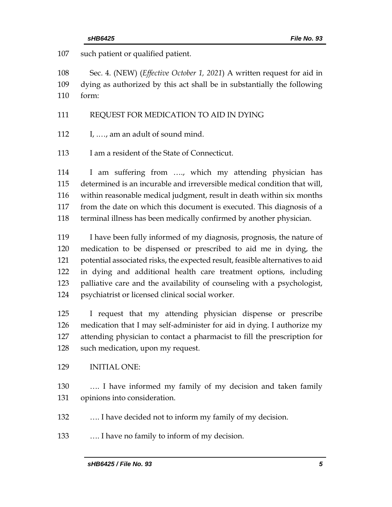such patient or qualified patient.

 Sec. 4. (NEW) (*Effective October 1, 2021*) A written request for aid in dying as authorized by this act shall be in substantially the following form:

#### REQUEST FOR MEDICATION TO AID IN DYING

I, .…, am an adult of sound mind.

113 I am a resident of the State of Connecticut.

 I am suffering from …., which my attending physician has determined is an incurable and irreversible medical condition that will, within reasonable medical judgment, result in death within six months from the date on which this document is executed. This diagnosis of a terminal illness has been medically confirmed by another physician.

 I have been fully informed of my diagnosis, prognosis, the nature of medication to be dispensed or prescribed to aid me in dying, the potential associated risks, the expected result, feasible alternatives to aid in dying and additional health care treatment options, including palliative care and the availability of counseling with a psychologist, psychiatrist or licensed clinical social worker.

 I request that my attending physician dispense or prescribe medication that I may self-administer for aid in dying. I authorize my attending physician to contact a pharmacist to fill the prescription for such medication, upon my request.

#### INITIAL ONE:

 …. I have informed my family of my decision and taken family opinions into consideration.

…. I have decided not to inform my family of my decision.

…. I have no family to inform of my decision.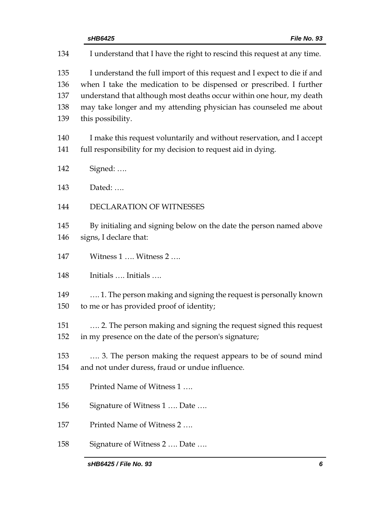|                                 | File No. 93<br>sHB6425                                                                                                                                                                                                                                                                                           |
|---------------------------------|------------------------------------------------------------------------------------------------------------------------------------------------------------------------------------------------------------------------------------------------------------------------------------------------------------------|
| 134                             | I understand that I have the right to rescind this request at any time.                                                                                                                                                                                                                                          |
| 135<br>136<br>137<br>138<br>139 | I understand the full import of this request and I expect to die if and<br>when I take the medication to be dispensed or prescribed. I further<br>understand that although most deaths occur within one hour, my death<br>may take longer and my attending physician has counseled me about<br>this possibility. |
| 140<br>141                      | I make this request voluntarily and without reservation, and I accept<br>full responsibility for my decision to request aid in dying.                                                                                                                                                                            |
| 142                             | Signed:                                                                                                                                                                                                                                                                                                          |
| 143                             | Dated:                                                                                                                                                                                                                                                                                                           |
| 144                             | DECLARATION OF WITNESSES                                                                                                                                                                                                                                                                                         |
| 145<br>146                      | By initialing and signing below on the date the person named above<br>signs, I declare that:                                                                                                                                                                                                                     |
| 147                             | Witness 1  Witness 2                                                                                                                                                                                                                                                                                             |
| 148                             | Initials  Initials                                                                                                                                                                                                                                                                                               |
| 149<br>150                      | 1. The person making and signing the request is personally known<br>to me or has provided proof of identity;                                                                                                                                                                                                     |
| 151<br>152                      | 2. The person making and signing the request signed this request<br>in my presence on the date of the person's signature;                                                                                                                                                                                        |
| 153<br>154                      | 3. The person making the request appears to be of sound mind<br>and not under duress, fraud or undue influence.                                                                                                                                                                                                  |
| 155                             | Printed Name of Witness 1                                                                                                                                                                                                                                                                                        |
| 156                             | Signature of Witness 1  Date                                                                                                                                                                                                                                                                                     |
| 157                             | Printed Name of Witness 2                                                                                                                                                                                                                                                                                        |
| 158                             | Signature of Witness 2  Date                                                                                                                                                                                                                                                                                     |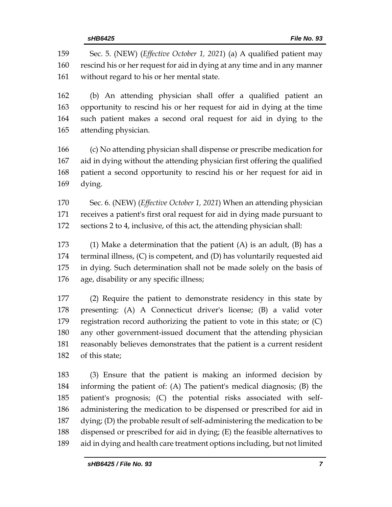Sec. 5. (NEW) (*Effective October 1, 2021*) (a) A qualified patient may rescind his or her request for aid in dying at any time and in any manner without regard to his or her mental state. (b) An attending physician shall offer a qualified patient an opportunity to rescind his or her request for aid in dying at the time such patient makes a second oral request for aid in dying to the attending physician. (c) No attending physician shall dispense or prescribe medication for aid in dying without the attending physician first offering the qualified patient a second opportunity to rescind his or her request for aid in dying. Sec. 6. (NEW) (*Effective October 1, 2021*) When an attending physician receives a patient's first oral request for aid in dying made pursuant to sections 2 to 4, inclusive, of this act, the attending physician shall: (1) Make a determination that the patient (A) is an adult, (B) has a terminal illness, (C) is competent, and (D) has voluntarily requested aid in dying. Such determination shall not be made solely on the basis of age, disability or any specific illness; (2) Require the patient to demonstrate residency in this state by presenting: (A) A Connecticut driver's license; (B) a valid voter registration record authorizing the patient to vote in this state; or (C) any other government-issued document that the attending physician reasonably believes demonstrates that the patient is a current resident of this state; (3) Ensure that the patient is making an informed decision by informing the patient of: (A) The patient's medical diagnosis; (B) the patient's prognosis; (C) the potential risks associated with self-

 administering the medication to be dispensed or prescribed for aid in dying; (D) the probable result of self-administering the medication to be

 dispensed or prescribed for aid in dying; (E) the feasible alternatives to aid in dying and health care treatment options including, but not limited

*sHB6425 / File No. 93 7*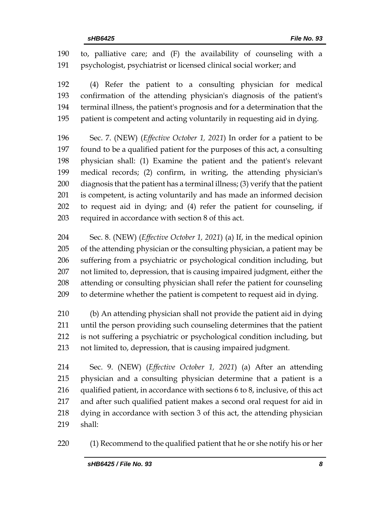to, palliative care; and (F) the availability of counseling with a psychologist, psychiatrist or licensed clinical social worker; and

 (4) Refer the patient to a consulting physician for medical confirmation of the attending physician's diagnosis of the patient's terminal illness, the patient's prognosis and for a determination that the patient is competent and acting voluntarily in requesting aid in dying.

 Sec. 7. (NEW) (*Effective October 1, 2021*) In order for a patient to be found to be a qualified patient for the purposes of this act, a consulting physician shall: (1) Examine the patient and the patient's relevant medical records; (2) confirm, in writing, the attending physician's diagnosis that the patient has a terminal illness; (3) verify that the patient is competent, is acting voluntarily and has made an informed decision to request aid in dying; and (4) refer the patient for counseling, if required in accordance with section 8 of this act.

 Sec. 8. (NEW) (*Effective October 1, 2021*) (a) If, in the medical opinion of the attending physician or the consulting physician, a patient may be suffering from a psychiatric or psychological condition including, but not limited to, depression, that is causing impaired judgment, either the attending or consulting physician shall refer the patient for counseling to determine whether the patient is competent to request aid in dying.

 (b) An attending physician shall not provide the patient aid in dying until the person providing such counseling determines that the patient is not suffering a psychiatric or psychological condition including, but not limited to, depression, that is causing impaired judgment.

 Sec. 9. (NEW) (*Effective October 1, 2021*) (a) After an attending physician and a consulting physician determine that a patient is a qualified patient, in accordance with sections 6 to 8, inclusive, of this act and after such qualified patient makes a second oral request for aid in dying in accordance with section 3 of this act, the attending physician shall:

(1) Recommend to the qualified patient that he or she notify his or her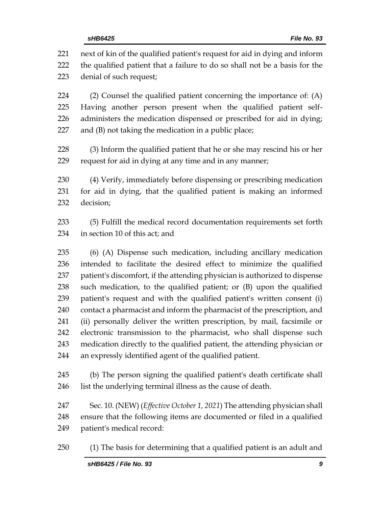next of kin of the qualified patient's request for aid in dying and inform the qualified patient that a failure to do so shall not be a basis for the denial of such request; (2) Counsel the qualified patient concerning the importance of: (A) Having another person present when the qualified patient self- administers the medication dispensed or prescribed for aid in dying; and (B) not taking the medication in a public place; (3) Inform the qualified patient that he or she may rescind his or her request for aid in dying at any time and in any manner; (4) Verify, immediately before dispensing or prescribing medication for aid in dying, that the qualified patient is making an informed decision; (5) Fulfill the medical record documentation requirements set forth in section 10 of this act; and (6) (A) Dispense such medication, including ancillary medication intended to facilitate the desired effect to minimize the qualified patient's discomfort, if the attending physician is authorized to dispense such medication, to the qualified patient; or (B) upon the qualified

 (ii) personally deliver the written prescription, by mail, facsimile or electronic transmission to the pharmacist, who shall dispense such medication directly to the qualified patient, the attending physician or an expressly identified agent of the qualified patient.

 patient's request and with the qualified patient's written consent (i) contact a pharmacist and inform the pharmacist of the prescription, and

 (b) The person signing the qualified patient's death certificate shall 246 list the underlying terminal illness as the cause of death.

 Sec. 10. (NEW) (*Effective October 1, 2021*) The attending physician shall ensure that the following items are documented or filed in a qualified patient's medical record:

(1) The basis for determining that a qualified patient is an adult and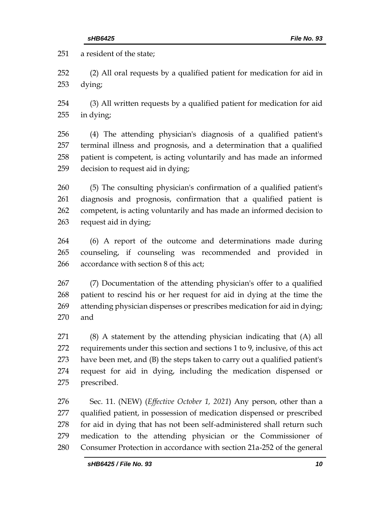a resident of the state;

 (2) All oral requests by a qualified patient for medication for aid in dying;

 (3) All written requests by a qualified patient for medication for aid in dying;

 (4) The attending physician's diagnosis of a qualified patient's terminal illness and prognosis, and a determination that a qualified patient is competent, is acting voluntarily and has made an informed decision to request aid in dying;

 (5) The consulting physician's confirmation of a qualified patient's diagnosis and prognosis, confirmation that a qualified patient is competent, is acting voluntarily and has made an informed decision to request aid in dying;

 (6) A report of the outcome and determinations made during counseling, if counseling was recommended and provided in accordance with section 8 of this act;

 (7) Documentation of the attending physician's offer to a qualified patient to rescind his or her request for aid in dying at the time the attending physician dispenses or prescribes medication for aid in dying; and

 (8) A statement by the attending physician indicating that (A) all requirements under this section and sections 1 to 9, inclusive, of this act have been met, and (B) the steps taken to carry out a qualified patient's request for aid in dying, including the medication dispensed or prescribed.

 Sec. 11. (NEW) (*Effective October 1, 2021*) Any person, other than a qualified patient, in possession of medication dispensed or prescribed 278 for aid in dying that has not been self-administered shall return such medication to the attending physician or the Commissioner of Consumer Protection in accordance with section 21a-252 of the general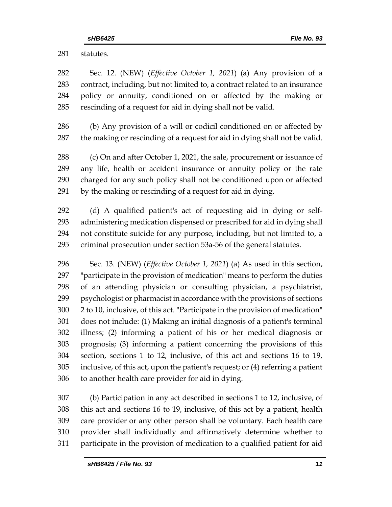statutes.

 Sec. 12. (NEW) (*Effective October 1, 2021*) (a) Any provision of a contract, including, but not limited to, a contract related to an insurance policy or annuity, conditioned on or affected by the making or rescinding of a request for aid in dying shall not be valid.

 (b) Any provision of a will or codicil conditioned on or affected by the making or rescinding of a request for aid in dying shall not be valid.

288 (c) On and after October 1, 2021, the sale, procurement or issuance of any life, health or accident insurance or annuity policy or the rate charged for any such policy shall not be conditioned upon or affected by the making or rescinding of a request for aid in dying.

 (d) A qualified patient's act of requesting aid in dying or self- administering medication dispensed or prescribed for aid in dying shall not constitute suicide for any purpose, including, but not limited to, a criminal prosecution under section 53a-56 of the general statutes.

 Sec. 13. (NEW) (*Effective October 1, 2021*) (a) As used in this section, "participate in the provision of medication" means to perform the duties of an attending physician or consulting physician, a psychiatrist, psychologist or pharmacist in accordance with the provisions of sections 2 to 10, inclusive, of this act. "Participate in the provision of medication" does not include: (1) Making an initial diagnosis of a patient's terminal illness; (2) informing a patient of his or her medical diagnosis or prognosis; (3) informing a patient concerning the provisions of this section, sections 1 to 12, inclusive, of this act and sections 16 to 19, inclusive, of this act, upon the patient's request; or (4) referring a patient to another health care provider for aid in dying.

 (b) Participation in any act described in sections 1 to 12, inclusive, of this act and sections 16 to 19, inclusive, of this act by a patient, health care provider or any other person shall be voluntary. Each health care provider shall individually and affirmatively determine whether to participate in the provision of medication to a qualified patient for aid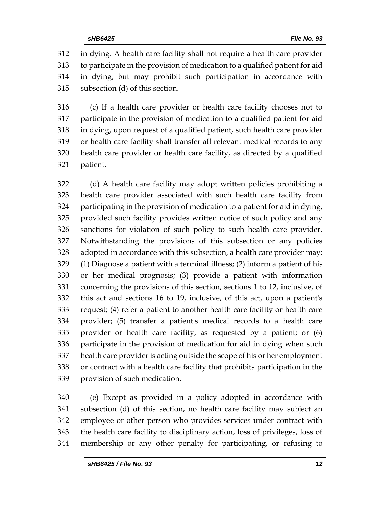in dying. A health care facility shall not require a health care provider to participate in the provision of medication to a qualified patient for aid in dying, but may prohibit such participation in accordance with subsection (d) of this section.

 (c) If a health care provider or health care facility chooses not to participate in the provision of medication to a qualified patient for aid in dying, upon request of a qualified patient, such health care provider or health care facility shall transfer all relevant medical records to any health care provider or health care facility, as directed by a qualified patient.

 (d) A health care facility may adopt written policies prohibiting a health care provider associated with such health care facility from participating in the provision of medication to a patient for aid in dying, provided such facility provides written notice of such policy and any sanctions for violation of such policy to such health care provider. Notwithstanding the provisions of this subsection or any policies adopted in accordance with this subsection, a health care provider may: (1) Diagnose a patient with a terminal illness; (2) inform a patient of his or her medical prognosis; (3) provide a patient with information concerning the provisions of this section, sections 1 to 12, inclusive, of this act and sections 16 to 19, inclusive, of this act, upon a patient's request; (4) refer a patient to another health care facility or health care provider; (5) transfer a patient's medical records to a health care provider or health care facility, as requested by a patient; or (6) participate in the provision of medication for aid in dying when such health care provider is acting outside the scope of his or her employment or contract with a health care facility that prohibits participation in the provision of such medication.

 (e) Except as provided in a policy adopted in accordance with subsection (d) of this section, no health care facility may subject an employee or other person who provides services under contract with the health care facility to disciplinary action, loss of privileges, loss of membership or any other penalty for participating, or refusing to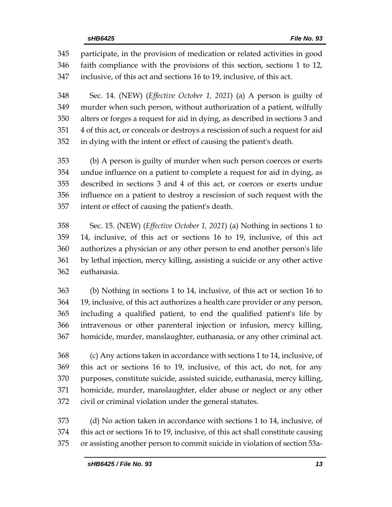participate, in the provision of medication or related activities in good faith compliance with the provisions of this section, sections 1 to 12, inclusive, of this act and sections 16 to 19, inclusive, of this act.

 Sec. 14. (NEW) (*Effective October 1, 2021*) (a) A person is guilty of murder when such person, without authorization of a patient, wilfully alters or forges a request for aid in dying, as described in sections 3 and 4 of this act, or conceals or destroys a rescission of such a request for aid in dying with the intent or effect of causing the patient's death.

 (b) A person is guilty of murder when such person coerces or exerts undue influence on a patient to complete a request for aid in dying, as described in sections 3 and 4 of this act, or coerces or exerts undue influence on a patient to destroy a rescission of such request with the intent or effect of causing the patient's death.

 Sec. 15. (NEW) (*Effective October 1, 2021*) (a) Nothing in sections 1 to 14, inclusive, of this act or sections 16 to 19, inclusive, of this act authorizes a physician or any other person to end another person's life by lethal injection, mercy killing, assisting a suicide or any other active euthanasia.

 (b) Nothing in sections 1 to 14, inclusive, of this act or section 16 to 19, inclusive, of this act authorizes a health care provider or any person, including a qualified patient, to end the qualified patient's life by intravenous or other parenteral injection or infusion, mercy killing, homicide, murder, manslaughter, euthanasia, or any other criminal act.

 (c) Any actions taken in accordance with sections 1 to 14, inclusive, of this act or sections 16 to 19, inclusive, of this act, do not, for any purposes, constitute suicide, assisted suicide, euthanasia, mercy killing, homicide, murder, manslaughter, elder abuse or neglect or any other civil or criminal violation under the general statutes.

 (d) No action taken in accordance with sections 1 to 14, inclusive, of this act or sections 16 to 19, inclusive, of this act shall constitute causing or assisting another person to commit suicide in violation of section 53a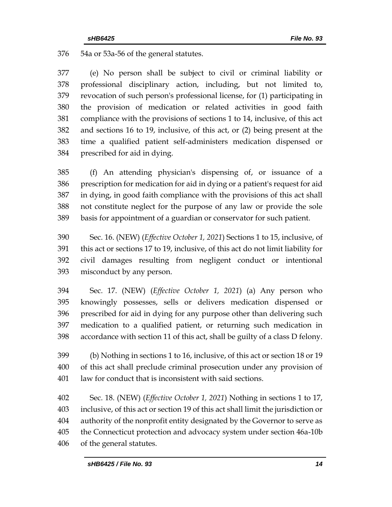54a or 53a-56 of the general statutes.

 (e) No person shall be subject to civil or criminal liability or professional disciplinary action, including, but not limited to, revocation of such person's professional license, for (1) participating in the provision of medication or related activities in good faith compliance with the provisions of sections 1 to 14, inclusive, of this act and sections 16 to 19, inclusive, of this act, or (2) being present at the time a qualified patient self-administers medication dispensed or prescribed for aid in dying.

 (f) An attending physician's dispensing of, or issuance of a prescription for medication for aid in dying or a patient's request for aid in dying, in good faith compliance with the provisions of this act shall not constitute neglect for the purpose of any law or provide the sole basis for appointment of a guardian or conservator for such patient.

 Sec. 16. (NEW) (*Effective October 1, 2021*) Sections 1 to 15, inclusive, of this act or sections 17 to 19, inclusive, of this act do not limit liability for civil damages resulting from negligent conduct or intentional misconduct by any person.

 Sec. 17. (NEW) (*Effective October 1, 2021*) (a) Any person who knowingly possesses, sells or delivers medication dispensed or prescribed for aid in dying for any purpose other than delivering such medication to a qualified patient, or returning such medication in accordance with section 11 of this act, shall be guilty of a class D felony.

 (b) Nothing in sections 1 to 16, inclusive, of this act or section 18 or 19 of this act shall preclude criminal prosecution under any provision of law for conduct that is inconsistent with said sections.

 Sec. 18. (NEW) (*Effective October 1, 2021*) Nothing in sections 1 to 17, inclusive, of this act or section 19 of this act shall limit the jurisdiction or authority of the nonprofit entity designated by the Governor to serve as the Connecticut protection and advocacy system under section 46a-10b of the general statutes.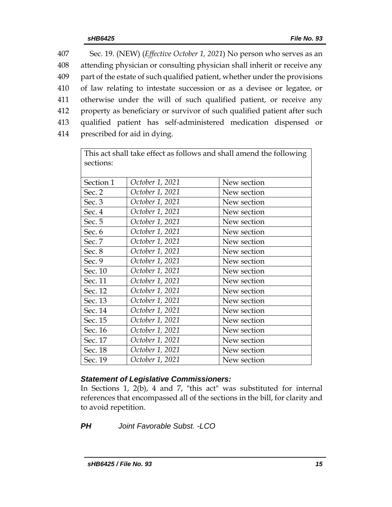| 407 | Sec. 19. (NEW) (Effective October 1, 2021) No person who serves as an      |
|-----|----------------------------------------------------------------------------|
| 408 | attending physician or consulting physician shall inherit or receive any   |
| 409 | part of the estate of such qualified patient, whether under the provisions |
| 410 | of law relating to intestate succession or as a devisee or legatee, or     |
| 411 | otherwise under the will of such qualified patient, or receive any         |
| 412 | property as beneficiary or survivor of such qualified patient after such   |
| 413 | qualified patient has self-administered medication dispensed or            |
| 414 | prescribed for aid in dying.                                               |

| This act shall take effect as follows and shall amend the following |                 |             |  |  |  |  |
|---------------------------------------------------------------------|-----------------|-------------|--|--|--|--|
| sections:                                                           |                 |             |  |  |  |  |
|                                                                     |                 |             |  |  |  |  |
| Section 1                                                           | October 1, 2021 | New section |  |  |  |  |
| Sec. 2                                                              | October 1, 2021 | New section |  |  |  |  |
| Sec. 3                                                              | October 1, 2021 | New section |  |  |  |  |
| Sec. 4                                                              | October 1, 2021 | New section |  |  |  |  |
| Sec. 5                                                              | October 1, 2021 | New section |  |  |  |  |
| Sec. 6                                                              | October 1, 2021 | New section |  |  |  |  |
| Sec. 7                                                              | October 1, 2021 | New section |  |  |  |  |
| Sec. 8                                                              | October 1, 2021 | New section |  |  |  |  |
| Sec. 9                                                              | October 1, 2021 | New section |  |  |  |  |
| Sec. 10                                                             | October 1, 2021 | New section |  |  |  |  |
| Sec. 11                                                             | October 1, 2021 | New section |  |  |  |  |
| Sec. 12                                                             | October 1, 2021 | New section |  |  |  |  |
| Sec. 13                                                             | October 1, 2021 | New section |  |  |  |  |
| Sec. 14                                                             | October 1, 2021 | New section |  |  |  |  |
| Sec. 15                                                             | October 1, 2021 | New section |  |  |  |  |
| Sec. 16                                                             | October 1, 2021 | New section |  |  |  |  |
| Sec. 17                                                             | October 1, 2021 | New section |  |  |  |  |
| Sec. 18                                                             | October 1, 2021 | New section |  |  |  |  |
| Sec. 19                                                             | October 1, 2021 | New section |  |  |  |  |

# *Statement of Legislative Commissioners:*

In Sections 1, 2(b), 4 and 7, "this act" was substituted for internal references that encompassed all of the sections in the bill, for clarity and to avoid repetition.

*PH Joint Favorable Subst. -LCO*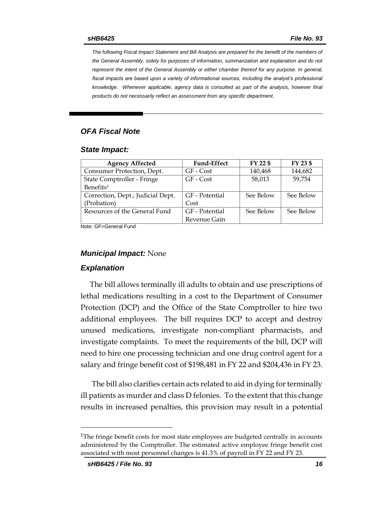*The following Fiscal Impact Statement and Bill Analysis are prepared for the benefit of the members of the General Assembly, solely for purposes of information, summarization and explanation and do not represent the intent of the General Assembly or either chamber thereof for any purpose. In general,*  fiscal impacts are based upon a variety of informational sources, including the analyst's professional *knowledge. Whenever applicable, agency data is consulted as part of the analysis, however final products do not necessarily reflect an assessment from any specific department.*

# *OFA Fiscal Note*

#### *State Impact:*

| <b>Agency Affected</b>            | <b>Fund-Effect</b> | FY 22 \$  | FY 23 \$  |
|-----------------------------------|--------------------|-----------|-----------|
| Consumer Protection, Dept.        | GF - Cost          | 140,468   | 144,682   |
| State Comptroller - Fringe        | GF - Cost          | 58,013    | 59,754    |
| Benefits <sup>1</sup>             |                    |           |           |
| Correction, Dept.; Judicial Dept. | GF - Potential     | See Below | See Below |
| (Probation)                       | Cost               |           |           |
| Resources of the General Fund     | GF - Potential     | See Below | See Below |
|                                   | Revenue Gain       |           |           |

Note: GF=General Fund

### *Municipal Impact:* None

#### *Explanation*

The bill allows terminally ill adults to obtain and use prescriptions of lethal medications resulting in a cost to the Department of Consumer Protection (DCP) and the Office of the State Comptroller to hire two additional employees. The bill requires DCP to accept and destroy unused medications, investigate non-compliant pharmacists, and investigate complaints. To meet the requirements of the bill, DCP will need to hire one processing technician and one drug control agent for a salary and fringe benefit cost of \$198,481 in FY 22 and \$204,436 in FY 23.

The bill also clarifies certain acts related to aid in dying for terminally ill patients as murder and class D felonies. To the extent that this change results in increased penalties, this provision may result in a potential

 $\overline{a}$ 

 $1$ The fringe benefit costs for most state employees are budgeted centrally in accounts administered by the Comptroller. The estimated active employee fringe benefit cost associated with most personnel changes is 41.3% of payroll in FY 22 and FY 23.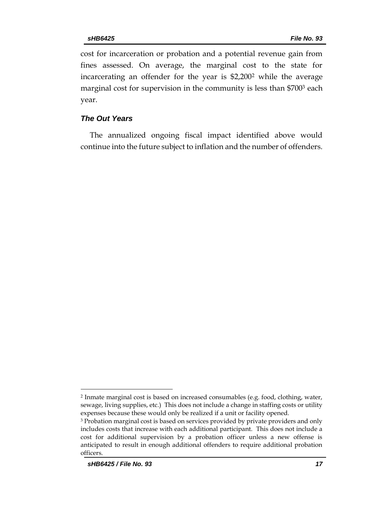cost for incarceration or probation and a potential revenue gain from fines assessed. On average, the marginal cost to the state for incarcerating an offender for the year is \$2,200<sup>2</sup> while the average marginal cost for supervision in the community is less than \$700<sup>3</sup> each year.

### *The Out Years*

The annualized ongoing fiscal impact identified above would continue into the future subject to inflation and the number of offenders.

 $\overline{a}$ 

<sup>2</sup> Inmate marginal cost is based on increased consumables (e.g. food, clothing, water, sewage, living supplies, etc.) This does not include a change in staffing costs or utility expenses because these would only be realized if a unit or facility opened.

<sup>3</sup> Probation marginal cost is based on services provided by private providers and only includes costs that increase with each additional participant. This does not include a cost for additional supervision by a probation officer unless a new offense is anticipated to result in enough additional offenders to require additional probation officers.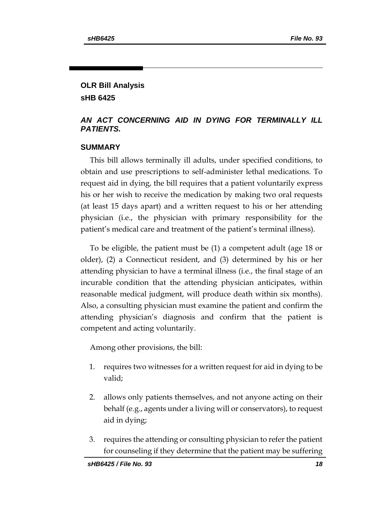# **OLR Bill Analysis sHB 6425**

# *AN ACT CONCERNING AID IN DYING FOR TERMINALLY ILL PATIENTS.*

### **SUMMARY**

This bill allows terminally ill adults, under specified conditions, to obtain and use prescriptions to self-administer lethal medications. To request aid in dying, the bill requires that a patient voluntarily express his or her wish to receive the medication by making two oral requests (at least 15 days apart) and a written request to his or her attending physician (i.e., the physician with primary responsibility for the patient's medical care and treatment of the patient's terminal illness).

To be eligible, the patient must be (1) a competent adult (age 18 or older), (2) a Connecticut resident, and (3) determined by his or her attending physician to have a terminal illness (i.e., the final stage of an incurable condition that the attending physician anticipates, within reasonable medical judgment, will produce death within six months). Also, a consulting physician must examine the patient and confirm the attending physician's diagnosis and confirm that the patient is competent and acting voluntarily.

Among other provisions, the bill:

- 1. requires two witnesses for a written request for aid in dying to be valid;
- 2. allows only patients themselves, and not anyone acting on their behalf (e.g., agents under a living will or conservators), to request aid in dying;
- 3. requires the attending or consulting physician to refer the patient for counseling if they determine that the patient may be suffering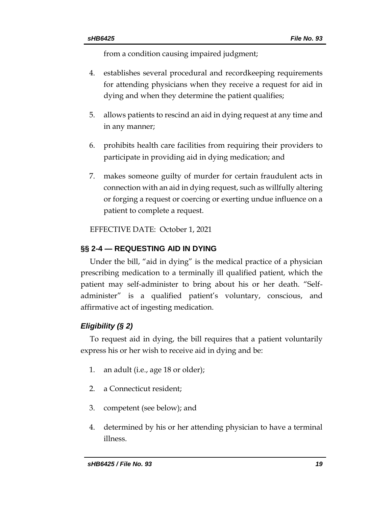from a condition causing impaired judgment;

- 4. establishes several procedural and recordkeeping requirements for attending physicians when they receive a request for aid in dying and when they determine the patient qualifies;
- 5. allows patients to rescind an aid in dying request at any time and in any manner;
- 6. prohibits health care facilities from requiring their providers to participate in providing aid in dying medication; and
- 7. makes someone guilty of murder for certain fraudulent acts in connection with an aid in dying request, such as willfully altering or forging a request or coercing or exerting undue influence on a patient to complete a request.

EFFECTIVE DATE: October 1, 2021

# **§§ 2-4 — REQUESTING AID IN DYING**

Under the bill, "aid in dying" is the medical practice of a physician prescribing medication to a terminally ill qualified patient, which the patient may self-administer to bring about his or her death. "Selfadminister" is a qualified patient's voluntary, conscious, and affirmative act of ingesting medication.

# *Eligibility (§ 2)*

To request aid in dying, the bill requires that a patient voluntarily express his or her wish to receive aid in dying and be:

- 1. an adult (i.e., age 18 or older);
- 2. a Connecticut resident;
- 3. competent (see below); and
- 4. determined by his or her attending physician to have a terminal illness.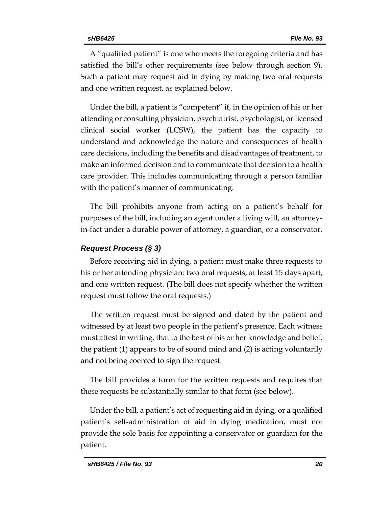A "qualified patient" is one who meets the foregoing criteria and has satisfied the bill's other requirements (see below through section 9). Such a patient may request aid in dying by making two oral requests and one written request, as explained below.

Under the bill, a patient is "competent" if, in the opinion of his or her attending or consulting physician, psychiatrist, psychologist, or licensed clinical social worker (LCSW), the patient has the capacity to understand and acknowledge the nature and consequences of health care decisions, including the benefits and disadvantages of treatment, to make an informed decision and to communicate that decision to a health care provider. This includes communicating through a person familiar with the patient's manner of communicating.

The bill prohibits anyone from acting on a patient's behalf for purposes of the bill, including an agent under a living will, an attorneyin-fact under a durable power of attorney, a guardian, or a conservator.

# *Request Process (§ 3)*

Before receiving aid in dying, a patient must make three requests to his or her attending physician: two oral requests, at least 15 days apart, and one written request. (The bill does not specify whether the written request must follow the oral requests.)

The written request must be signed and dated by the patient and witnessed by at least two people in the patient's presence. Each witness must attest in writing, that to the best of his or her knowledge and belief, the patient (1) appears to be of sound mind and (2) is acting voluntarily and not being coerced to sign the request.

The bill provides a form for the written requests and requires that these requests be substantially similar to that form (see below).

Under the bill, a patient's act of requesting aid in dying, or a qualified patient's self-administration of aid in dying medication, must not provide the sole basis for appointing a conservator or guardian for the patient.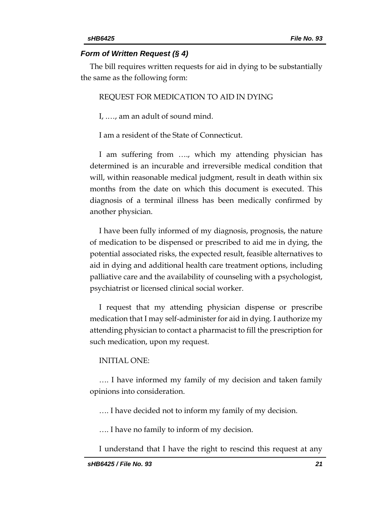#### *Form of Written Request (§ 4)*

The bill requires written requests for aid in dying to be substantially the same as the following form:

#### REQUEST FOR MEDICATION TO AID IN DYING

I, .…, am an adult of sound mind.

I am a resident of the State of Connecticut.

I am suffering from …., which my attending physician has determined is an incurable and irreversible medical condition that will, within reasonable medical judgment, result in death within six months from the date on which this document is executed. This diagnosis of a terminal illness has been medically confirmed by another physician.

I have been fully informed of my diagnosis, prognosis, the nature of medication to be dispensed or prescribed to aid me in dying, the potential associated risks, the expected result, feasible alternatives to aid in dying and additional health care treatment options, including palliative care and the availability of counseling with a psychologist, psychiatrist or licensed clinical social worker.

I request that my attending physician dispense or prescribe medication that I may self-administer for aid in dying. I authorize my attending physician to contact a pharmacist to fill the prescription for such medication, upon my request.

#### INITIAL ONE:

…. I have informed my family of my decision and taken family opinions into consideration.

…. I have decided not to inform my family of my decision.

…. I have no family to inform of my decision.

I understand that I have the right to rescind this request at any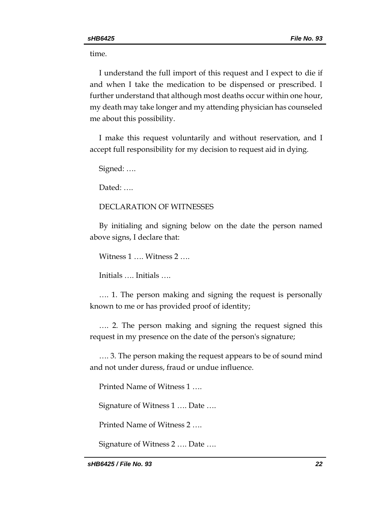time.

I understand the full import of this request and I expect to die if and when I take the medication to be dispensed or prescribed. I further understand that although most deaths occur within one hour, my death may take longer and my attending physician has counseled me about this possibility.

I make this request voluntarily and without reservation, and I accept full responsibility for my decision to request aid in dying.

Signed: ….

Dated: ….

### DECLARATION OF WITNESSES

By initialing and signing below on the date the person named above signs, I declare that:

Witness 1 …. Witness 2 ….

Initials …. Initials ….

…. 1. The person making and signing the request is personally known to me or has provided proof of identity;

…. 2. The person making and signing the request signed this request in my presence on the date of the person's signature;

…. 3. The person making the request appears to be of sound mind and not under duress, fraud or undue influence.

Printed Name of Witness 1 ….

Signature of Witness 1 …. Date ….

Printed Name of Witness 2 ….

Signature of Witness 2 …. Date ….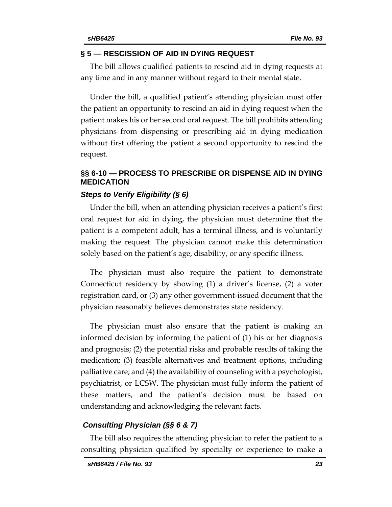#### **§ 5 — RESCISSION OF AID IN DYING REQUEST**

The bill allows qualified patients to rescind aid in dying requests at any time and in any manner without regard to their mental state.

Under the bill, a qualified patient's attending physician must offer the patient an opportunity to rescind an aid in dying request when the patient makes his or her second oral request. The bill prohibits attending physicians from dispensing or prescribing aid in dying medication without first offering the patient a second opportunity to rescind the request.

# **§§ 6-10 — PROCESS TO PRESCRIBE OR DISPENSE AID IN DYING MEDICATION**

### *Steps to Verify Eligibility (§ 6)*

Under the bill, when an attending physician receives a patient's first oral request for aid in dying, the physician must determine that the patient is a competent adult, has a terminal illness, and is voluntarily making the request. The physician cannot make this determination solely based on the patient's age, disability, or any specific illness.

The physician must also require the patient to demonstrate Connecticut residency by showing (1) a driver's license, (2) a voter registration card, or (3) any other government-issued document that the physician reasonably believes demonstrates state residency.

The physician must also ensure that the patient is making an informed decision by informing the patient of (1) his or her diagnosis and prognosis; (2) the potential risks and probable results of taking the medication; (3) feasible alternatives and treatment options, including palliative care; and (4) the availability of counseling with a psychologist, psychiatrist, or LCSW. The physician must fully inform the patient of these matters, and the patient's decision must be based on understanding and acknowledging the relevant facts.

#### *Consulting Physician (§§ 6 & 7)*

The bill also requires the attending physician to refer the patient to a consulting physician qualified by specialty or experience to make a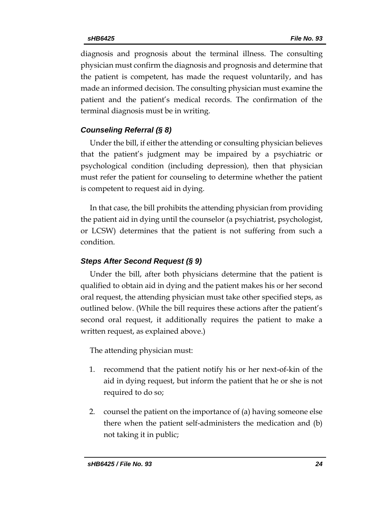diagnosis and prognosis about the terminal illness. The consulting physician must confirm the diagnosis and prognosis and determine that the patient is competent, has made the request voluntarily, and has made an informed decision. The consulting physician must examine the patient and the patient's medical records. The confirmation of the terminal diagnosis must be in writing.

# *Counseling Referral (§ 8)*

Under the bill, if either the attending or consulting physician believes that the patient's judgment may be impaired by a psychiatric or psychological condition (including depression), then that physician must refer the patient for counseling to determine whether the patient is competent to request aid in dying.

In that case, the bill prohibits the attending physician from providing the patient aid in dying until the counselor (a psychiatrist, psychologist, or LCSW) determines that the patient is not suffering from such a condition.

# *Steps After Second Request (§ 9)*

Under the bill, after both physicians determine that the patient is qualified to obtain aid in dying and the patient makes his or her second oral request, the attending physician must take other specified steps, as outlined below. (While the bill requires these actions after the patient's second oral request, it additionally requires the patient to make a written request, as explained above.)

The attending physician must:

- 1. recommend that the patient notify his or her next-of-kin of the aid in dying request, but inform the patient that he or she is not required to do so;
- 2. counsel the patient on the importance of (a) having someone else there when the patient self-administers the medication and (b) not taking it in public;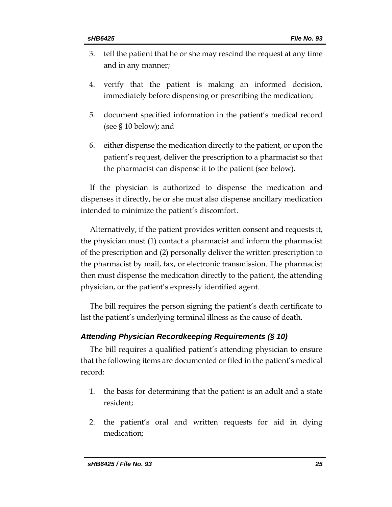- 3. tell the patient that he or she may rescind the request at any time and in any manner;
- 4. verify that the patient is making an informed decision, immediately before dispensing or prescribing the medication;
- 5. document specified information in the patient's medical record (see § 10 below); and
- 6. either dispense the medication directly to the patient, or upon the patient's request, deliver the prescription to a pharmacist so that the pharmacist can dispense it to the patient (see below).

If the physician is authorized to dispense the medication and dispenses it directly, he or she must also dispense ancillary medication intended to minimize the patient's discomfort.

Alternatively, if the patient provides written consent and requests it, the physician must (1) contact a pharmacist and inform the pharmacist of the prescription and (2) personally deliver the written prescription to the pharmacist by mail, fax, or electronic transmission. The pharmacist then must dispense the medication directly to the patient, the attending physician, or the patient's expressly identified agent.

The bill requires the person signing the patient's death certificate to list the patient's underlying terminal illness as the cause of death.

# *Attending Physician Recordkeeping Requirements (§ 10)*

The bill requires a qualified patient's attending physician to ensure that the following items are documented or filed in the patient's medical record:

- 1. the basis for determining that the patient is an adult and a state resident;
- 2. the patient's oral and written requests for aid in dying medication;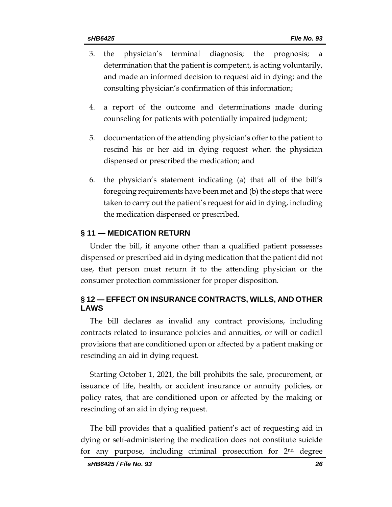- 3. the physician's terminal diagnosis; the prognosis; a determination that the patient is competent, is acting voluntarily, and made an informed decision to request aid in dying; and the consulting physician's confirmation of this information;
- 4. a report of the outcome and determinations made during counseling for patients with potentially impaired judgment;
- 5. documentation of the attending physician's offer to the patient to rescind his or her aid in dying request when the physician dispensed or prescribed the medication; and
- 6. the physician's statement indicating (a) that all of the bill's foregoing requirements have been met and (b) the steps that were taken to carry out the patient's request for aid in dying, including the medication dispensed or prescribed.

### **§ 11 — MEDICATION RETURN**

Under the bill, if anyone other than a qualified patient possesses dispensed or prescribed aid in dying medication that the patient did not use, that person must return it to the attending physician or the consumer protection commissioner for proper disposition.

# **§ 12 — EFFECT ON INSURANCE CONTRACTS, WILLS, AND OTHER LAWS**

The bill declares as invalid any contract provisions, including contracts related to insurance policies and annuities, or will or codicil provisions that are conditioned upon or affected by a patient making or rescinding an aid in dying request.

Starting October 1, 2021, the bill prohibits the sale, procurement, or issuance of life, health, or accident insurance or annuity policies, or policy rates, that are conditioned upon or affected by the making or rescinding of an aid in dying request.

The bill provides that a qualified patient's act of requesting aid in dying or self-administering the medication does not constitute suicide for any purpose, including criminal prosecution for  $2<sup>nd</sup>$  degree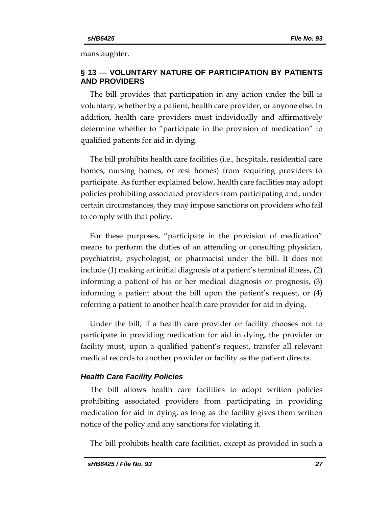manslaughter.

# **§ 13 — VOLUNTARY NATURE OF PARTICIPATION BY PATIENTS AND PROVIDERS**

The bill provides that participation in any action under the bill is voluntary, whether by a patient, health care provider, or anyone else. In addition, health care providers must individually and affirmatively determine whether to "participate in the provision of medication" to qualified patients for aid in dying.

The bill prohibits health care facilities (i.e., hospitals, residential care homes, nursing homes, or rest homes) from requiring providers to participate. As further explained below, health care facilities may adopt policies prohibiting associated providers from participating and, under certain circumstances, they may impose sanctions on providers who fail to comply with that policy.

For these purposes, "participate in the provision of medication" means to perform the duties of an attending or consulting physician, psychiatrist, psychologist, or pharmacist under the bill. It does not include (1) making an initial diagnosis of a patient's terminal illness, (2) informing a patient of his or her medical diagnosis or prognosis, (3) informing a patient about the bill upon the patient's request, or (4) referring a patient to another health care provider for aid in dying.

Under the bill, if a health care provider or facility chooses not to participate in providing medication for aid in dying, the provider or facility must, upon a qualified patient's request, transfer all relevant medical records to another provider or facility as the patient directs.

### *Health Care Facility Policies*

The bill allows health care facilities to adopt written policies prohibiting associated providers from participating in providing medication for aid in dying, as long as the facility gives them written notice of the policy and any sanctions for violating it.

The bill prohibits health care facilities, except as provided in such a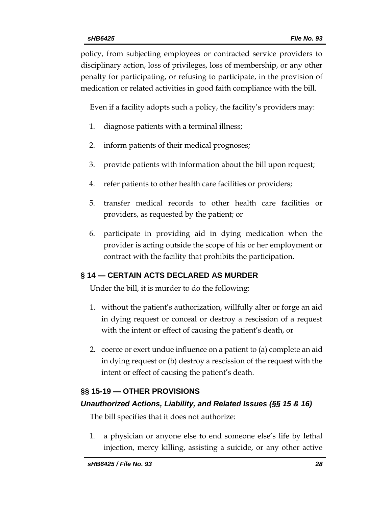policy, from subjecting employees or contracted service providers to disciplinary action, loss of privileges, loss of membership, or any other penalty for participating, or refusing to participate, in the provision of medication or related activities in good faith compliance with the bill.

Even if a facility adopts such a policy, the facility's providers may:

- 1. diagnose patients with a terminal illness;
- 2. inform patients of their medical prognoses;
- 3. provide patients with information about the bill upon request;
- 4. refer patients to other health care facilities or providers;
- 5. transfer medical records to other health care facilities or providers, as requested by the patient; or
- 6. participate in providing aid in dying medication when the provider is acting outside the scope of his or her employment or contract with the facility that prohibits the participation.

# **§ 14 — CERTAIN ACTS DECLARED AS MURDER**

Under the bill, it is murder to do the following:

- 1. without the patient's authorization, willfully alter or forge an aid in dying request or conceal or destroy a rescission of a request with the intent or effect of causing the patient's death, or
- 2. coerce or exert undue influence on a patient to (a) complete an aid in dying request or (b) destroy a rescission of the request with the intent or effect of causing the patient's death.

# **§§ 15-19 — OTHER PROVISIONS**

# *Unauthorized Actions, Liability, and Related Issues (§§ 15 & 16)*

The bill specifies that it does not authorize:

1. a physician or anyone else to end someone else's life by lethal injection, mercy killing, assisting a suicide, or any other active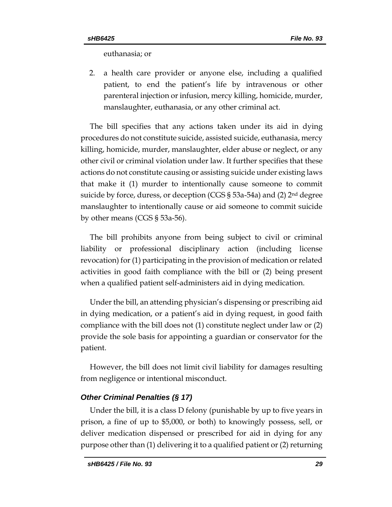euthanasia; or

2. a health care provider or anyone else, including a qualified patient, to end the patient's life by intravenous or other parenteral injection or infusion, mercy killing, homicide, murder, manslaughter, euthanasia, or any other criminal act.

The bill specifies that any actions taken under its aid in dying procedures do not constitute suicide, assisted suicide, euthanasia, mercy killing, homicide, murder, manslaughter, elder abuse or neglect, or any other civil or criminal violation under law. It further specifies that these actions do not constitute causing or assisting suicide under existing laws that make it (1) murder to intentionally cause someone to commit suicide by force, duress, or deception (CGS § 53a-54a) and (2) 2nd degree manslaughter to intentionally cause or aid someone to commit suicide by other means (CGS § 53a-56).

The bill prohibits anyone from being subject to civil or criminal liability or professional disciplinary action (including license revocation) for (1) participating in the provision of medication or related activities in good faith compliance with the bill or (2) being present when a qualified patient self-administers aid in dying medication.

Under the bill, an attending physician's dispensing or prescribing aid in dying medication, or a patient's aid in dying request, in good faith compliance with the bill does not (1) constitute neglect under law or (2) provide the sole basis for appointing a guardian or conservator for the patient.

However, the bill does not limit civil liability for damages resulting from negligence or intentional misconduct.

### *Other Criminal Penalties (§ 17)*

Under the bill, it is a class D felony (punishable by up to five years in prison, a fine of up to \$5,000, or both) to knowingly possess, sell, or deliver medication dispensed or prescribed for aid in dying for any purpose other than (1) delivering it to a qualified patient or (2) returning